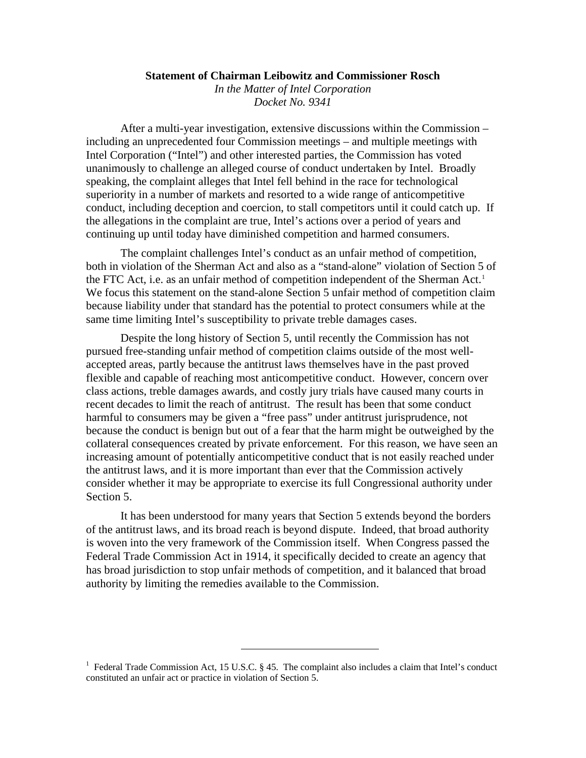## **Statement of Chairman Leibowitz and Commissioner Rosch**

*In the Matter of Intel Corporation Docket No. 9341* 

After a multi-year investigation, extensive discussions within the Commission – including an unprecedented four Commission meetings – and multiple meetings with Intel Corporation ("Intel") and other interested parties, the Commission has voted unanimously to challenge an alleged course of conduct undertaken by Intel. Broadly speaking, the complaint alleges that Intel fell behind in the race for technological superiority in a number of markets and resorted to a wide range of anticompetitive conduct, including deception and coercion, to stall competitors until it could catch up. If the allegations in the complaint are true, Intel's actions over a period of years and continuing up until today have diminished competition and harmed consumers.

The complaint challenges Intel's conduct as an unfair method of competition, both in violation of the Sherman Act and also as a "stand-alone" violation of Section 5 of the FTC Act, i.e. as an unfair method of competition independent of the Sherman Act.<sup>[1](#page-0-0)</sup> We focus this statement on the stand-alone Section 5 unfair method of competition claim because liability under that standard has the potential to protect consumers while at the same time limiting Intel's susceptibility to private treble damages cases.

Despite the long history of Section 5, until recently the Commission has not pursued free-standing unfair method of competition claims outside of the most wellaccepted areas, partly because the antitrust laws themselves have in the past proved flexible and capable of reaching most anticompetitive conduct. However, concern over class actions, treble damages awards, and costly jury trials have caused many courts in recent decades to limit the reach of antitrust. The result has been that some conduct harmful to consumers may be given a "free pass" under antitrust jurisprudence, not because the conduct is benign but out of a fear that the harm might be outweighed by the collateral consequences created by private enforcement. For this reason, we have seen an increasing amount of potentially anticompetitive conduct that is not easily reached under the antitrust laws, and it is more important than ever that the Commission actively consider whether it may be appropriate to exercise its full Congressional authority under Section 5.

It has been understood for many years that Section 5 extends beyond the borders of the antitrust laws, and its broad reach is beyond dispute. Indeed, that broad authority is woven into the very framework of the Commission itself. When Congress passed the Federal Trade Commission Act in 1914, it specifically decided to create an agency that has broad jurisdiction to stop unfair methods of competition, and it balanced that broad authority by limiting the remedies available to the Commission.

<span id="page-0-0"></span><sup>&</sup>lt;sup>1</sup> Federal Trade Commission Act, 15 U.S.C. § 45. The complaint also includes a claim that Intel's conduct constituted an unfair act or practice in violation of Section 5.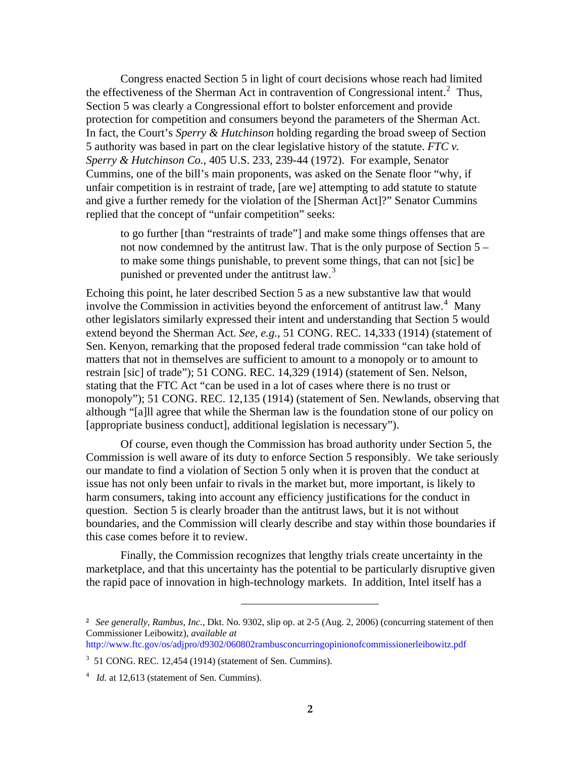Congress enacted Section 5 in light of court decisions whose reach had limited the effectiveness of the Sherman Act in contravention of Congressional intent.<sup>[2](#page-1-0)</sup> Thus, Section 5 was clearly a Congressional effort to bolster enforcement and provide protection for competition and consumers beyond the parameters of the Sherman Act. In fact, the Court's *Sperry & Hutchinson* holding regarding the broad sweep of Section 5 authority was based in part on the clear legislative history of the statute. *FTC v. Sperry & Hutchinson Co.*, 405 U.S. 233, 239-44 (1972).For example, Senator Cummins, one of the bill's main proponents, was asked on the Senate floor "why, if unfair competition is in restraint of trade, [are we] attempting to add statute to statute and give a further remedy for the violation of the [Sherman Act]?" Senator Cummins replied that the concept of "unfair competition" seeks:

to go further [than "restraints of trade"] and make some things offenses that are not now condemned by the antitrust law. That is the only purpose of Section 5 – to make some things punishable, to prevent some things, that can not [sic] be punished or prevented under the antitrust law. $3$ 

Echoing this point, he later described Section 5 as a new substantive law that would involve the Commission in activities beyond the enforcement of antitrust law. $4$  Many other legislators similarly expressed their intent and understanding that Section 5 would extend beyond the Sherman Act. *See, e.g.,* 51 CONG. REC. 14,333 (1914) (statement of Sen. Kenyon, remarking that the proposed federal trade commission "can take hold of matters that not in themselves are sufficient to amount to a monopoly or to amount to restrain [sic] of trade"); 51 CONG. REC. 14,329 (1914) (statement of Sen. Nelson, stating that the FTC Act "can be used in a lot of cases where there is no trust or monopoly"); 51 CONG. REC. 12,135 (1914) (statement of Sen. Newlands, observing that although "[a]ll agree that while the Sherman law is the foundation stone of our policy on [appropriate business conduct], additional legislation is necessary").

Of course, even though the Commission has broad authority under Section 5, the Commission is well aware of its duty to enforce Section 5 responsibly. We take seriously our mandate to find a violation of Section 5 only when it is proven that the conduct at issue has not only been unfair to rivals in the market but, more important, is likely to harm consumers, taking into account any efficiency justifications for the conduct in question. Section 5 is clearly broader than the antitrust laws, but it is not without boundaries, and the Commission will clearly describe and stay within those boundaries if this case comes before it to review.

Finally, the Commission recognizes that lengthy trials create uncertainty in the marketplace, and that this uncertainty has the potential to be particularly disruptive given the rapid pace of innovation in high-technology markets. In addition, Intel itself has a

<span id="page-1-0"></span>**<sup>2</sup>** *See generally, Rambus, Inc.,* Dkt. No. 9302, slip op. at 2-5 (Aug. 2, 2006) (concurring statement of then Commissioner Leibowitz), *available at* 

http://www.ftc.gov/os/adjpro/d9302/060802rambusconcurringopinionofcommissionerleibowitz.pdf

<span id="page-1-1"></span><sup>3</sup> 51 CONG. REC. 12,454 (1914) (statement of Sen. Cummins).

<span id="page-1-2"></span><sup>&</sup>lt;sup>4</sup> *Id.* at 12,613 (statement of Sen. Cummins).